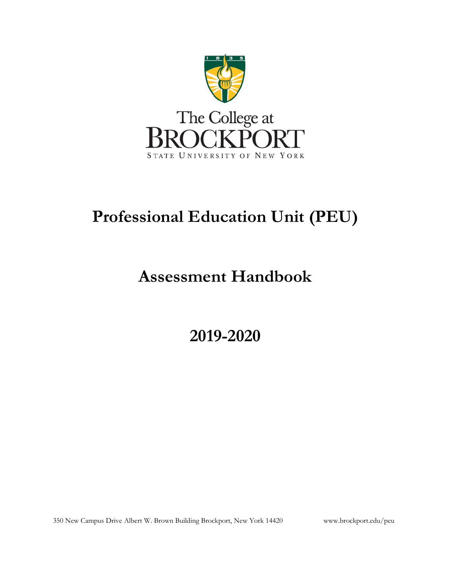

# **Professional Education Unit (PEU)**

# **Assessment Handbook**

**2019-2020** 

350 New Campus Drive Albert W. Brown Building Brockport, New York 14420 <www.brockport.edu/peu>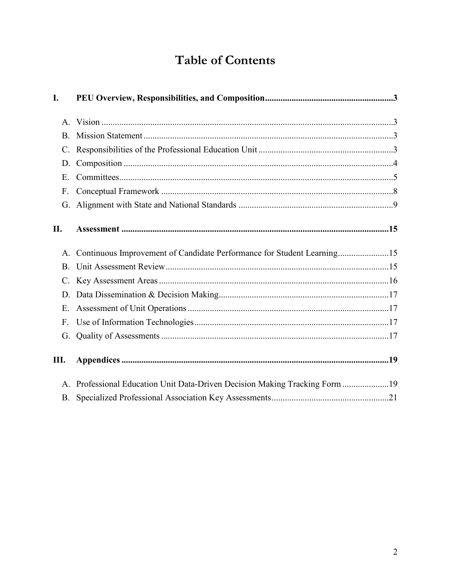# **Table of Contents**

| I.             |                                                                             |
|----------------|-----------------------------------------------------------------------------|
|                |                                                                             |
| <b>B.</b>      |                                                                             |
|                |                                                                             |
| D.             |                                                                             |
| Ε.             |                                                                             |
| F <sub>r</sub> |                                                                             |
|                |                                                                             |
| II.            |                                                                             |
|                | A. Continuous Improvement of Candidate Performance for Student Learning15   |
|                |                                                                             |
|                |                                                                             |
|                |                                                                             |
| E.             |                                                                             |
| F <sub>r</sub> |                                                                             |
| G.             |                                                                             |
| Ш.             |                                                                             |
|                | A. Professional Education Unit Data-Driven Decision Making Tracking Form 19 |
| B.             |                                                                             |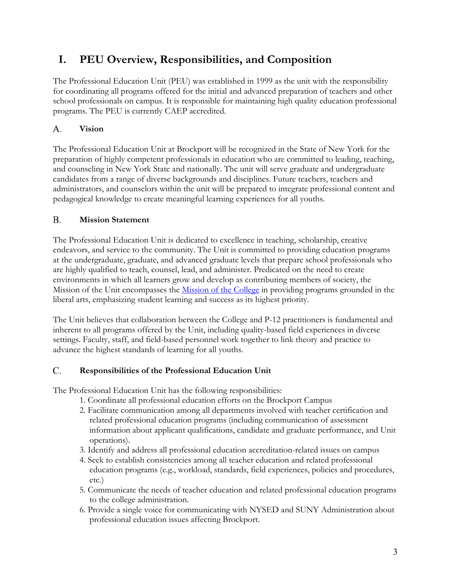# <span id="page-2-0"></span>**I. PEU Overview, Responsibilities, and Composition**

The Professional Education Unit (PEU) was established in 1999 as the unit with the responsibility for coordinating all programs offered for the initial and advanced preparation of teachers and other school professionals on campus. It is responsible for maintaining high quality education professional programs. The PEU is currently CAEP accredited.

## <span id="page-2-1"></span>A. **Vision**

The Professional Education Unit at Brockport will be recognized in the State of New York for the preparation of highly competent professionals in education who are committed to leading, teaching, and counseling in New York State and nationally. The unit will serve graduate and undergraduate candidates from a range of diverse backgrounds and disciplines. Future teachers, teachers and administrators, and counselors within the unit will be prepared to integrate professional content and pedagogical knowledge to create meaningful learning experiences for all youths.

### <span id="page-2-2"></span>B. **Mission Statement**

The Professional Education Unit is dedicated to excellence in teaching, scholarship, creative endeavors, and service to the community. The Unit is committed to providing education programs at the undergraduate, graduate, and advanced graduate levels that prepare school professionals who are highly qualified to teach, counsel, lead, and administer. Predicated on the need to create environments in which all learners grow and develop as contributing members of society, the Mission of the Unit encompasses the **Mission of the College** in providing programs grounded in the liberal arts, emphasizing student learning and success as its highest priority.

The Unit believes that collaboration between the College and P-12 practitioners is fundamental and inherent to all programs offered by the Unit, including quality-based field experiences in diverse settings. Faculty, staff, and field-based personnel work together to link theory and practice to advance the highest standards of learning for all youths.

#### <span id="page-2-3"></span>C. **Responsibilities of the Professional Education Unit**

The Professional Education Unit has the following responsibilities:

- 1. Coordinate all professional education efforts on the Brockport Campus
- 2. Facilitate communication among all departments involved with teacher certification and related professional education programs (including communication of assessment information about applicant qualifications, candidate and graduate performance, and Unit operations).
- 3. Identify and address all professional education accreditation-related issues on campus
- 4. Seek to establish consistencies among all teacher education and related professional education programs (e.g., workload, standards, field experiences, policies and procedures, etc.)
- 5. Communicate the needs of teacher education and related professional education programs to the college administration.
- 6. Provide a single voice for communicating with NYSED and SUNY Administration about professional education issues affecting Brockport.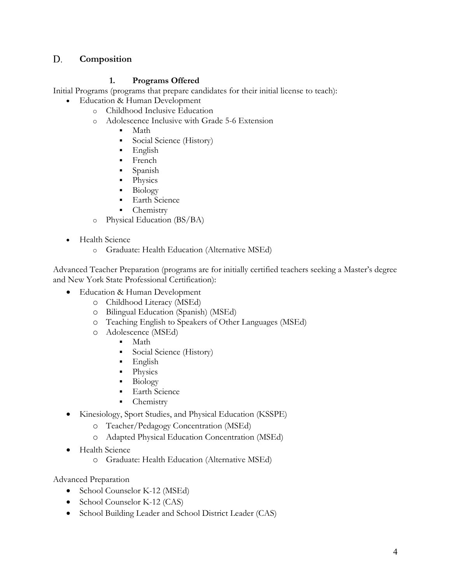#### <span id="page-3-0"></span>D. **Composition**

# **1. Programs Offered**

Initial Programs (programs that prepare candidates for their initial license to teach):

- Education & Human Development
	- o Childhood Inclusive Education
	- o Adolescence Inclusive with Grade 5-6 Extension
		- Math
		- Social Science (History)
		- **English**
		- French
		- Spanish
		- Physics
		- Biology
		- **Earth Science**
		- **Chemistry**
	- o Physical Education (BS/BA)
- Health Science
	- o Graduate: Health Education (Alternative MSEd)

Advanced Teacher Preparation (programs are for initially certified teachers seeking a Master's degree and New York State Professional Certification):

- Education & Human Development
	- o Childhood Literacy (MSEd)
	- o Bilingual Education (Spanish) (MSEd)
	- o Teaching English to Speakers of Other Languages (MSEd)
	- o Adolescence (MSEd)
		- Math
		- **Social Science (History)**
		- English
		- Physics
		- Biology
		- **Earth Science**
		- Chemistry
- Kinesiology, Sport Studies, and Physical Education (KSSPE)
	- o [Teacher/Pedagogy Concentration \(MSEd\)](http://www.brockport.edu/pes/grad/teached/index.html)
	- o [Adapted Physical Education Concentration \(MSEd\)](http://www.brockport.edu/pes/grad/gradape/grdapeadmission.html)
- Health Science
	- o Graduate: Health Education (Alternative MSEd)

Advanced Preparation

- School Counselor K-12 (MSEd)
- School Counselor K-12 (CAS)
- School Building Leader and School District Leader (CAS)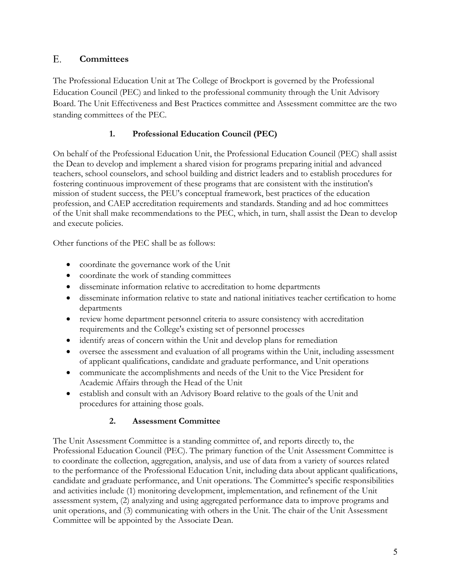## <span id="page-4-0"></span>E. **Committees**

The Professional Education Unit at The College of Brockport is governed by the Professional Education Council (PEC) and linked to the professional community through the Unit Advisory Board. The Unit Effectiveness and Best Practices committee and Assessment committee are the two standing committees of the PEC.

# **1. Professional Education Council (PEC)**

On behalf of the Professional Education Unit, the Professional Education Council (PEC) shall assist the Dean to develop and implement a shared vision for programs preparing initial and advanced teachers, school counselors, and school building and district leaders and to establish procedures for fostering continuous improvement of these programs that are consistent with the institution's mission of student success, the PEU's conceptual framework, best practices of the education profession, and CAEP accreditation requirements and standards. Standing and ad hoc committees of the Unit shall make recommendations to the PEC, which, in turn, shall assist the Dean to develop and execute policies.

Other functions of the PEC shall be as follows:

- coordinate the governance work of the Unit
- coordinate the work of standing committees
- disseminate information relative to accreditation to home departments
- disseminate information relative to state and national initiatives teacher certification to home departments
- review home department personnel criteria to assure consistency with accreditation requirements and the College's existing set of personnel processes
- identify areas of concern within the Unit and develop plans for remediation
- oversee the assessment and evaluation of all programs within the Unit, including assessment of applicant qualifications, candidate and graduate performance, and Unit operations
- communicate the accomplishments and needs of the Unit to the Vice President for Academic Affairs through the Head of the Unit
- establish and consult with an Advisory Board relative to the goals of the Unit and procedures for attaining those goals.

# **2. Assessment Committee**

The Unit Assessment Committee is a standing committee of, and reports directly to, the Professional Education Council (PEC). The primary function of the Unit Assessment Committee is to coordinate the collection, aggregation, analysis, and use of data from a variety of sources related to the performance of the Professional Education Unit, including data about applicant qualifications, candidate and graduate performance, and Unit operations. The Committee's specific responsibilities and activities include (1) monitoring development, implementation, and refinement of the Unit assessment system, (2) analyzing and using aggregated performance data to improve programs and unit operations, and (3) communicating with others in the Unit. The chair of the Unit Assessment Committee will be appointed by the Associate Dean.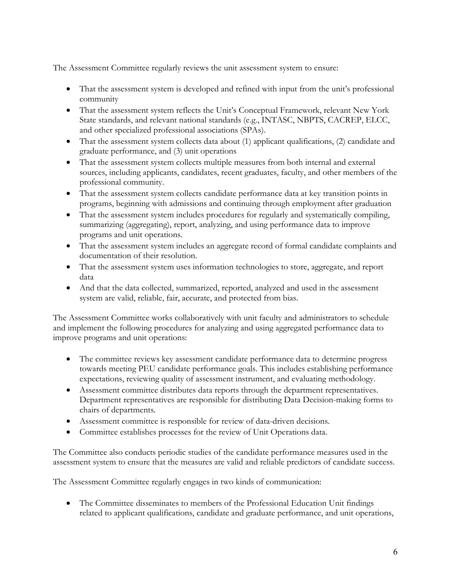The Assessment Committee regularly reviews the unit assessment system to ensure:

- That the assessment system is developed and refined with input from the unit's professional community
- That the assessment system reflects the Unit's Conceptual Framework, relevant New York State standards, and relevant national standards (e.g., INTASC, NBPTS, CACREP, ELCC, and other specialized professional associations (SPAs).
- That the assessment system collects data about (1) applicant qualifications, (2) candidate and graduate performance, and (3) unit operations
- That the assessment system collects multiple measures from both internal and external sources, including applicants, candidates, recent graduates, faculty, and other members of the professional community.
- That the assessment system collects candidate performance data at key transition points in programs, beginning with admissions and continuing through employment after graduation
- That the assessment system includes procedures for regularly and systematically compiling, summarizing (aggregating), report, analyzing, and using performance data to improve programs and unit operations.
- That the assessment system includes an aggregate record of formal candidate complaints and documentation of their resolution.
- That the assessment system uses information technologies to store, aggregate, and report data
- And that the data collected, summarized, reported, analyzed and used in the assessment system are valid, reliable, fair, accurate, and protected from bias.

The Assessment Committee works collaboratively with unit faculty and administrators to schedule and implement the following procedures for analyzing and using aggregated performance data to improve programs and unit operations:

- The committee reviews key assessment candidate performance data to determine progress towards meeting PEU candidate performance goals. This includes establishing performance expectations, reviewing quality of assessment instrument, and evaluating methodology.
- Assessment committee distributes data reports through the department representatives. Department representatives are responsible for distributing Data Decision-making forms to chairs of departments.
- Assessment committee is responsible for review of data-driven decisions.
- Committee establishes processes for the review of Unit Operations data.

The Committee also conducts periodic studies of the candidate performance measures used in the assessment system to ensure that the measures are valid and reliable predictors of candidate success.

The Assessment Committee regularly engages in two kinds of communication:

• The Committee disseminates to members of the Professional Education Unit findings related to applicant qualifications, candidate and graduate performance, and unit operations,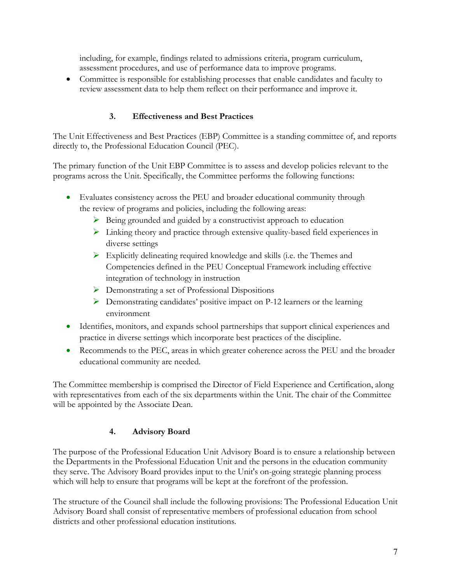including, for example, findings related to admissions criteria, program curriculum, assessment procedures, and use of performance data to improve programs.

• Committee is responsible for establishing processes that enable candidates and faculty to review assessment data to help them reflect on their performance and improve it.

# **3. Effectiveness and Best Practices**

The Unit Effectiveness and Best Practices (EBP) Committee is a standing committee of, and reports directly to, the Professional Education Council (PEC).

The primary function of the Unit EBP Committee is to assess and develop policies relevant to the programs across the Unit. Specifically, the Committee performs the following functions:

- Evaluates consistency across the PEU and broader educational community through the review of programs and policies, including the following areas:
	- $\triangleright$  Being grounded and guided by a constructivist approach to education
	- $\triangleright$  Linking theory and practice through extensive quality-based field experiences in diverse settings
	- $\triangleright$  Explicitly delineating required knowledge and skills (i.e. the Themes and Competencies defined in the PEU Conceptual Framework including effective integration of technology in instruction
	- Demonstrating a set of Professional Dispositions
	- $\triangleright$  Demonstrating candidates' positive impact on P-12 learners or the learning environment
- Identifies, monitors, and expands school partnerships that support clinical experiences and practice in diverse settings which incorporate best practices of the discipline.
- Recommends to the PEC, areas in which greater coherence across the PEU and the broader educational community are needed.

The Committee membership is comprised the Director of Field Experience and Certification, along with representatives from each of the six departments within the Unit. The chair of the Committee will be appointed by the Associate Dean.

# **4. Advisory Board**

The purpose of the Professional Education Unit Advisory Board is to ensure a relationship between the Departments in the Professional Education Unit and the persons in the education community they serve. The Advisory Board provides input to the Unit's on-going strategic planning process which will help to ensure that programs will be kept at the forefront of the profession.

The structure of the Council shall include the following provisions: The Professional Education Unit Advisory Board shall consist of representative members of professional education from school districts and other professional education institutions.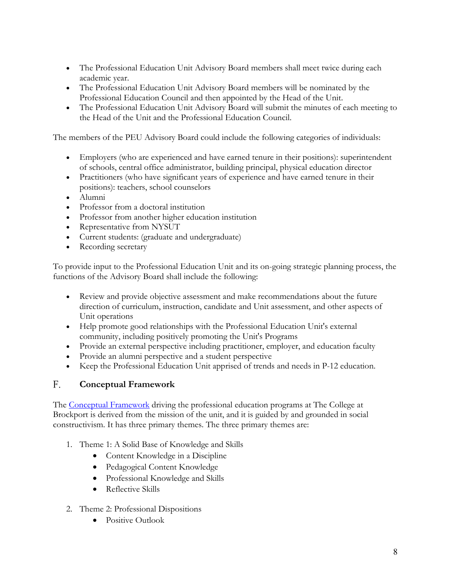- The Professional Education Unit Advisory Board members shall meet twice during each academic year.
- The Professional Education Unit Advisory Board members will be nominated by the Professional Education Council and then appointed by the Head of the Unit.
- The Professional Education Unit Advisory Board will submit the minutes of each meeting to the Head of the Unit and the Professional Education Council.

The members of the PEU Advisory Board could include the following categories of individuals:

- Employers (who are experienced and have earned tenure in their positions): superintendent of schools, central office administrator, building principal, physical education director
- Practitioners (who have significant years of experience and have earned tenure in their positions): teachers, school counselors
- Alumni
- Professor from a doctoral institution
- Professor from another higher education institution
- Representative from NYSUT
- Current students: (graduate and undergraduate)
- Recording secretary

To provide input to the Professional Education Unit and its on-going strategic planning process, the functions of the Advisory Board shall include the following:

- Review and provide objective assessment and make recommendations about the future direction of curriculum, instruction, candidate and Unit assessment, and other aspects of Unit operations
- Help promote good relationships with the Professional Education Unit's external community, including positively promoting the Unit's Programs
- Provide an external perspective including practitioner, employer, and education faculty
- Provide an alumni perspective and a student perspective
- Keep the Professional Education Unit apprised of trends and needs in P-12 education.

## <span id="page-7-0"></span>F. **Conceptual Framework**

The [Conceptual Framework](http://www.brockport.edu/peu/documents/CONCEPTUAL%20FRAMEWORK%203.13.15.pdf) driving the professional education programs at The College at Brockport is derived from the mission of the unit, and it is guided by and grounded in social constructivism. It has three primary themes. The three primary themes are:

- 1. Theme 1: A Solid Base of Knowledge and Skills
	- Content Knowledge in a Discipline
	- Pedagogical Content Knowledge
	- Professional Knowledge and Skills
	- Reflective Skills
- 2. Theme 2: Professional Dispositions
	- Positive Outlook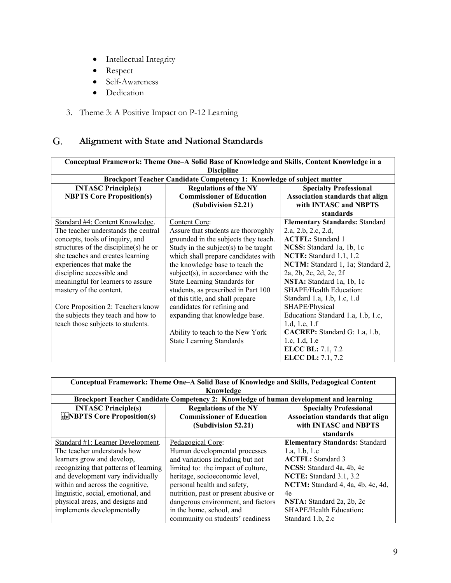- Intellectual Integrity
- Respect
- Self-Awareness
- Dedication
- 3. Theme 3: A Positive Impact on P-12 Learning

## <span id="page-8-0"></span>G. **Alignment with State and National Standards**

| Conceptual Framework: Theme One-A Solid Base of Knowledge and Skills, Content Knowledge in a<br><b>Discipline</b> |                                                                       |                                       |  |  |
|-------------------------------------------------------------------------------------------------------------------|-----------------------------------------------------------------------|---------------------------------------|--|--|
|                                                                                                                   | Brockport Teacher Candidate Competency 1: Knowledge of subject matter |                                       |  |  |
| <b>INTASC Principle(s)</b>                                                                                        | <b>Regulations of the NY</b>                                          | <b>Specialty Professional</b>         |  |  |
| <b>NBPTS Core Proposition(s)</b>                                                                                  | <b>Commissioner of Education</b>                                      | Association standards that align      |  |  |
|                                                                                                                   | (Subdivision 52.21)                                                   | with INTASC and NBPTS                 |  |  |
|                                                                                                                   |                                                                       | standards                             |  |  |
| Standard #4: Content Knowledge.                                                                                   | Content Core:                                                         | <b>Elementary Standards: Standard</b> |  |  |
| The teacher understands the central                                                                               | Assure that students are thoroughly                                   | 2.a, 2.b, 2.c, 2.d,                   |  |  |
| concepts, tools of inquiry, and                                                                                   | grounded in the subjects they teach.                                  | <b>ACTFL:</b> Standard 1              |  |  |
| structures of the discipline(s) he or                                                                             | Study in the subject(s) to be taught                                  | NCSS: Standard 1a, 1b, 1c             |  |  |
| she teaches and creates learning                                                                                  | which shall prepare candidates with                                   | NCTE: Standard 1.1, 1.2               |  |  |
| experiences that make the                                                                                         | the knowledge base to teach the                                       | NCTM: Standard 1, 1a; Standard 2,     |  |  |
| discipline accessible and                                                                                         | $subject(s)$ , in accordance with the                                 | 2a, 2b, 2c, 2d, 2e, 2f                |  |  |
| meaningful for learners to assure                                                                                 | State Learning Standards for                                          | NSTA: Standard 1a, 1b, 1c             |  |  |
| mastery of the content.                                                                                           | students, as prescribed in Part 100                                   | SHAPE/Health Education:               |  |  |
|                                                                                                                   | of this title, and shall prepare                                      | Standard 1.a, 1.b, 1.c, 1.d           |  |  |
| Core Proposition 2: Teachers know                                                                                 | candidates for refining and                                           | SHAPE/Physical                        |  |  |
| the subjects they teach and how to                                                                                | expanding that knowledge base.                                        | Education: Standard 1.a, 1.b, 1.c,    |  |  |
| teach those subjects to students.                                                                                 |                                                                       | 1.d, 1.e, 1.f                         |  |  |
|                                                                                                                   | Ability to teach to the New York                                      | CACREP: Standard G: 1.a, 1.b,         |  |  |
|                                                                                                                   | <b>State Learning Standards</b>                                       | 1.c, 1.d, 1.e                         |  |  |
|                                                                                                                   |                                                                       | <b>ELCC BL:</b> 7.1, 7.2              |  |  |
|                                                                                                                   |                                                                       | <b>ELCC DL:</b> 7.1, 7.2              |  |  |

| Conceptual Framework: Theme One–A Solid Base of Knowledge and Skills, Pedagogical Content<br>Knowledge |                                                                                       |                                       |  |
|--------------------------------------------------------------------------------------------------------|---------------------------------------------------------------------------------------|---------------------------------------|--|
|                                                                                                        | Brockport Teacher Candidate Competency 2: Knowledge of human development and learning |                                       |  |
| <b>INTASC Principle(s)</b>                                                                             | <b>Regulations of the NY</b>                                                          | <b>Specialty Professional</b>         |  |
| $\frac{1}{2}$ NBPTS Core Proposition(s)                                                                | <b>Commissioner of Education</b>                                                      | Association standards that align      |  |
|                                                                                                        | (Subdivision 52.21)                                                                   | with INTASC and NBPTS                 |  |
|                                                                                                        |                                                                                       | standards                             |  |
| Standard #1: Learner Development.                                                                      | Pedagogical Core:                                                                     | <b>Elementary Standards: Standard</b> |  |
| The teacher understands how                                                                            | Human developmental processes                                                         | 1.a, 1.b, 1.c                         |  |
| learners grow and develop,                                                                             | and variations including but not                                                      | <b>ACTFL:</b> Standard 3              |  |
| recognizing that patterns of learning                                                                  | limited to: the impact of culture,                                                    | NCSS: Standard 4a, 4b, 4c             |  |
| and development vary individually                                                                      | heritage, socioeconomic level,                                                        | NCTE: Standard 3.1, 3.2               |  |
| within and across the cognitive,                                                                       | personal health and safety,                                                           | NCTM: Standard 4, 4a, 4b, 4c, 4d,     |  |
| linguistic, social, emotional, and                                                                     | nutrition, past or present abusive or                                                 | 4e                                    |  |
| physical areas, and designs and                                                                        | dangerous environment, and factors                                                    | NSTA: Standard 2a, 2b, 2c             |  |
| implements developmentally                                                                             | in the home, school, and                                                              | SHAPE/Health Education:               |  |
|                                                                                                        | community on students' readiness                                                      | Standard 1.b, 2.c                     |  |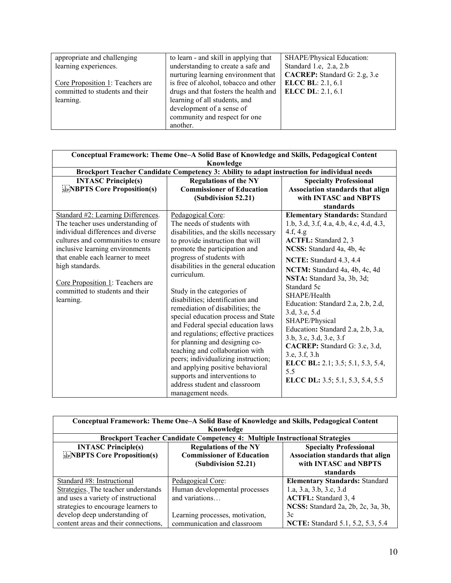| appropriate and challenging      | to learn - and skill in applying that | SHAPE/Physical Education:    |
|----------------------------------|---------------------------------------|------------------------------|
| learning experiences.            | understanding to create a safe and    | Standard 1.e, 2.a, 2.b       |
|                                  | nurturing learning environment that   | CACREP: Standard G: 2.g, 3.e |
| Core Proposition 1: Teachers are | is free of alcohol, tobacco and other | <b>ELCC BL: 2.1, 6.1</b>     |
| committed to students and their  | drugs and that fosters the health and | <b>ELCC DL</b> : 2.1, 6.1    |
| learning.                        | learning of all students, and         |                              |
|                                  | development of a sense of             |                              |
|                                  | community and respect for one         |                              |
|                                  | another.                              |                              |

| Conceptual Framework: Theme One-A Solid Base of Knowledge and Skills, Pedagogical Content<br>Knowledge                                                                                                                                                                                                                            |                                                                                                                                                                                                                                                                                                                                                                                                                                                                                                                                                                                                                                                                                                                       |                                                                                                                                                                                                                                                                                                                                                                                                                                                                                                                                                                |  |
|-----------------------------------------------------------------------------------------------------------------------------------------------------------------------------------------------------------------------------------------------------------------------------------------------------------------------------------|-----------------------------------------------------------------------------------------------------------------------------------------------------------------------------------------------------------------------------------------------------------------------------------------------------------------------------------------------------------------------------------------------------------------------------------------------------------------------------------------------------------------------------------------------------------------------------------------------------------------------------------------------------------------------------------------------------------------------|----------------------------------------------------------------------------------------------------------------------------------------------------------------------------------------------------------------------------------------------------------------------------------------------------------------------------------------------------------------------------------------------------------------------------------------------------------------------------------------------------------------------------------------------------------------|--|
|                                                                                                                                                                                                                                                                                                                                   | Brockport Teacher Candidate Competency 3: Ability to adapt instruction for individual needs                                                                                                                                                                                                                                                                                                                                                                                                                                                                                                                                                                                                                           |                                                                                                                                                                                                                                                                                                                                                                                                                                                                                                                                                                |  |
| <b>INTASC Principle(s)</b><br><b>SEPINENTS Core Proposition(s)</b>                                                                                                                                                                                                                                                                | <b>Regulations of the NY</b><br><b>Commissioner of Education</b><br>(Subdivision 52.21)                                                                                                                                                                                                                                                                                                                                                                                                                                                                                                                                                                                                                               | <b>Specialty Professional</b><br>Association standards that align<br>with INTASC and NBPTS                                                                                                                                                                                                                                                                                                                                                                                                                                                                     |  |
|                                                                                                                                                                                                                                                                                                                                   |                                                                                                                                                                                                                                                                                                                                                                                                                                                                                                                                                                                                                                                                                                                       | standards                                                                                                                                                                                                                                                                                                                                                                                                                                                                                                                                                      |  |
| Standard #2: Learning Differences.<br>The teacher uses understanding of<br>individual differences and diverse<br>cultures and communities to ensure<br>inclusive learning environments<br>that enable each learner to meet<br>high standards.<br>Core Proposition 1: Teachers are<br>committed to students and their<br>learning. | Pedagogical Core:<br>The needs of students with<br>disabilities, and the skills necessary<br>to provide instruction that will<br>promote the participation and<br>progress of students with<br>disabilities in the general education<br>curriculum.<br>Study in the categories of<br>disabilities; identification and<br>remediation of disabilities; the<br>special education process and State<br>and Federal special education laws<br>and regulations; effective practices<br>for planning and designing co-<br>teaching and collaboration with<br>peers; individualizing instruction;<br>and applying positive behavioral<br>supports and interventions to<br>address student and classroom<br>management needs. | <b>Elementary Standards: Standard</b><br>1.b, 3.d, 3.f, 4.a, 4.b, 4.c, 4.d, 4.3,<br>4.f, 4.g.<br><b>ACTFL:</b> Standard 2, 3<br>NCSS: Standard 4a, 4b, 4c<br>NCTE: Standard 4.3, 4.4<br>NCTM: Standard 4a, 4b, 4c, 4d<br>NSTA: Standard 3a, 3b, 3d;<br>Standard 5c<br>SHAPE/Health<br>Education: Standard 2.a, 2.b, 2.d,<br>3.d, 3.e, 5.d<br>SHAPE/Physical<br>Education: Standard 2.a, 2.b, 3.a,<br>3.b, 3.c, 3.d, 3.e, 3.f<br>CACREP: Standard G: 3.c, 3.d,<br>3.e, 3.f, 3.h<br>ELCC BL: 2.1; 3.5; 5.1, 5.3, 5.4,<br>5.5<br>ELCC DL: 3.5; 5.1, 5.3, 5.4, 5.5 |  |

| Conceptual Framework: Theme One-A Solid Base of Knowledge and Skills, Pedagogical Content |                                                                             |                                          |  |  |
|-------------------------------------------------------------------------------------------|-----------------------------------------------------------------------------|------------------------------------------|--|--|
|                                                                                           | Knowledge                                                                   |                                          |  |  |
|                                                                                           | Brockport Teacher Candidate Competency 4: Multiple Instructional Strategies |                                          |  |  |
| <b>INTASC Principle(s)</b>                                                                | <b>Regulations of the NY</b>                                                | <b>Specialty Professional</b>            |  |  |
| <b>SEPINE BETS</b> Core Proposition(s)                                                    | <b>Commissioner of Education</b>                                            | <b>Association standards that align</b>  |  |  |
|                                                                                           | (Subdivision 52.21)                                                         | with INTASC and NBPTS                    |  |  |
|                                                                                           |                                                                             | standards                                |  |  |
| Standard #8: Instructional                                                                | Pedagogical Core:                                                           | <b>Elementary Standards: Standard</b>    |  |  |
| Strategies. The teacher understands                                                       | Human developmental processes                                               | 1.a, 3.a, 3.b, 3.c, 3.d                  |  |  |
| and uses a variety of instructional                                                       | and variations                                                              | <b>ACTFL:</b> Standard 3, 4              |  |  |
| strategies to encourage learners to                                                       |                                                                             | NCSS: Standard 2a, 2b, 2c, 3a, 3b,       |  |  |
| develop deep understanding of                                                             | Learning processes, motivation,                                             | 3c                                       |  |  |
| content areas and their connections,                                                      | communication and classroom                                                 | <b>NCTE:</b> Standard 5.1, 5.2, 5.3, 5.4 |  |  |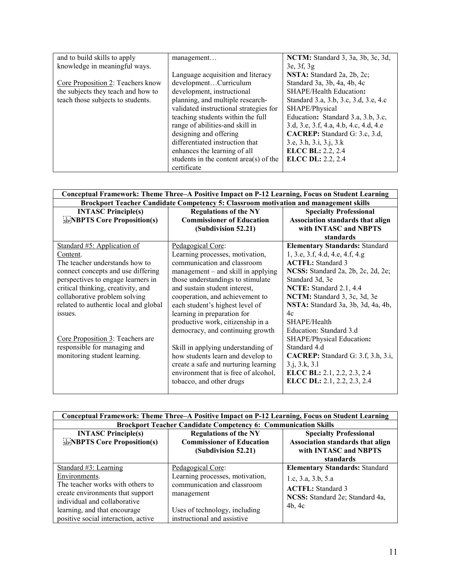| and to build skills to apply       | management                               | <b>NCTM:</b> Standard 3, 3a, 3b, 3c, 3d, |
|------------------------------------|------------------------------------------|------------------------------------------|
| knowledge in meaningful ways.      |                                          | 3e, 3f, 3g                               |
|                                    | Language acquisition and literacy        | NSTA: Standard 2a, 2b, 2c;               |
| Core Proposition 2: Teachers know  | developmentCurriculum                    | Standard 3a, 3b, 4a, 4b, 4c              |
| the subjects they teach and how to | development, instructional               | <b>SHAPE/Health Education:</b>           |
| teach those subjects to students.  | planning, and multiple research-         | Standard 3.a, 3.b, 3.c, 3.d, 3.e, 4.c    |
|                                    | validated instructional strategies for   | SHAPE/Physical                           |
|                                    | teaching students within the full        | Education: Standard 3.a, 3.b, 3.c,       |
|                                    | range of abilities-and skill in          | 3.d, 3.e, 3.f, 4.a, 4.b, 4.c, 4.d, 4.e   |
|                                    | designing and offering                   | CACREP: Standard G: 3.c, 3.d,            |
|                                    | differentiated instruction that          | 3.e, 3.h, 3.i, 3.j, 3.k                  |
|                                    | enhances the learning of all             | <b>ELCC BL: 2.2, 2.4</b>                 |
|                                    | students in the content $area(s)$ of the | <b>ELCC DL: 2.2, 2.4</b>                 |
|                                    | certificate                              |                                          |

| Conceptual Framework: Theme Three–A Positive Impact on P-12 Learning, Focus on Student Learning |                                      |                                           |
|-------------------------------------------------------------------------------------------------|--------------------------------------|-------------------------------------------|
| Brockport Teacher Candidate Competency 5: Classroom motivation and management skills            |                                      |                                           |
| <b>INTASC Principle(s)</b>                                                                      | <b>Regulations of the NY</b>         | <b>Specialty Professional</b>             |
| <b>SEPNED SEPTS Core Proposition(s)</b>                                                         | <b>Commissioner of Education</b>     | Association standards that align          |
|                                                                                                 | (Subdivision 52.21)                  | with INTASC and NBPTS                     |
|                                                                                                 |                                      | standards                                 |
| Standard #5: Application of                                                                     | Pedagogical Core:                    | <b>Elementary Standards: Standard</b>     |
| Content.                                                                                        | Learning processes, motivation,      | 1, 3.e, 3.f, 4.d, 4.e, 4.f, 4.g           |
| The teacher understands how to                                                                  | communication and classroom          | <b>ACTFL:</b> Standard 3                  |
| connect concepts and use differing                                                              | management - and skill in applying   | NCSS: Standard 2a, 2b, 2c, 2d, 2e;        |
| perspectives to engage learners in                                                              | those understandings to stimulate    | Standard 3d, 3e                           |
| critical thinking, creativity, and                                                              | and sustain student interest,        | NCTE: Standard 2.1, 4.4                   |
| collaborative problem solving                                                                   | cooperation, and achievement to      | NCTM: Standard 3, 3c, 3d, 3e              |
| related to authentic local and global                                                           | each student's highest level of      | NSTA: Standard 3a, 3b, 3d, 4a, 4b,        |
| issues.                                                                                         | learning in preparation for          | 4c                                        |
|                                                                                                 | productive work, citizenship in a    | SHAPE/Health                              |
|                                                                                                 | democracy, and continuing growth     | Education: Standard 3.d                   |
| Core Proposition 3: Teachers are                                                                |                                      | SHAPE/Physical Education:                 |
| responsible for managing and                                                                    | Skill in applying understanding of   | Standard 4.d                              |
| monitoring student learning.                                                                    | how students learn and develop to    | <b>CACREP:</b> Standard G: 3.f, 3.h, 3.i, |
|                                                                                                 | create a safe and nurturing learning | 3.i, 3.k, 3.l                             |
|                                                                                                 | environment that is free of alcohol, | <b>ELCC BL:</b> 2.1, 2.2, 2.3, 2.4        |
|                                                                                                 | tobacco, and other drugs             | <b>ELCC DL:</b> 2.1, 2.2, 2.3, 2.4        |
|                                                                                                 |                                      |                                           |

| Conceptual Framework: Theme Three–A Positive Impact on P-12 Learning, Focus on Student Learning |                                                                       |                                       |  |
|-------------------------------------------------------------------------------------------------|-----------------------------------------------------------------------|---------------------------------------|--|
|                                                                                                 | <b>Brockport Teacher Candidate Competency 6: Communication Skills</b> |                                       |  |
| <b>INTASC Principle(s)</b>                                                                      | <b>Regulations of the NY</b>                                          | <b>Specialty Professional</b>         |  |
| $\frac{1}{2}$ NBPTS Core Proposition(s)                                                         | <b>Commissioner of Education</b>                                      | Association standards that align      |  |
|                                                                                                 | (Subdivision 52.21)                                                   | with INTASC and NBPTS                 |  |
|                                                                                                 |                                                                       | standards                             |  |
| Standard #3: Learning                                                                           | Pedagogical Core:                                                     | <b>Elementary Standards: Standard</b> |  |
| Environments.                                                                                   | Learning processes, motivation,                                       | 1.c, 3.a, 3.b, 5.a                    |  |
| The teacher works with others to                                                                | communication and classroom                                           | <b>ACTFL:</b> Standard 3              |  |
| create environments that support                                                                | management                                                            | NCSS: Standard 2e; Standard 4a,       |  |
| individual and collaborative                                                                    |                                                                       | 4b.4c                                 |  |
| learning, and that encourage                                                                    | Uses of technology, including                                         |                                       |  |
| positive social interaction, active                                                             | instructional and assistive                                           |                                       |  |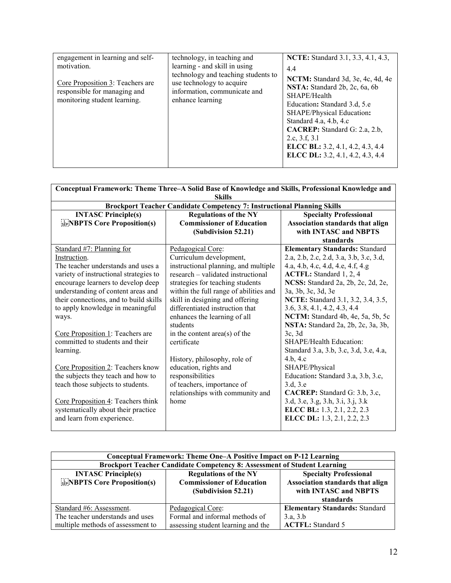| engagement in learning and self-<br>motivation.<br>Core Proposition 3: Teachers are<br>responsible for managing and<br>monitoring student learning. | technology, in teaching and<br>learning - and skill in using<br>technology and teaching students to<br>use technology to acquire<br>information, communicate and<br>enhance learning | NCTE: Standard 3.1, 3.3, 4.1, 4.3,<br>4.4<br>NCTM: Standard 3d, 3e, 4c, 4d, 4e<br>NSTA: Standard 2b, 2c, 6a, 6b<br>SHAPE/Health<br>Education: Standard 3.d, 5.e<br>SHAPE/Physical Education:<br>Standard 4.a, 4.b, 4.c<br>CACREP: Standard G: 2.a, 2.b,<br>2.c, 3.f, 3.1<br>ELCC BL: 3.2, 4.1, 4.2, 4.3, 4.4<br>ELCC DL: 3.2, 4.1, 4.2, 4.3, 4.4 |
|-----------------------------------------------------------------------------------------------------------------------------------------------------|--------------------------------------------------------------------------------------------------------------------------------------------------------------------------------------|--------------------------------------------------------------------------------------------------------------------------------------------------------------------------------------------------------------------------------------------------------------------------------------------------------------------------------------------------|
|-----------------------------------------------------------------------------------------------------------------------------------------------------|--------------------------------------------------------------------------------------------------------------------------------------------------------------------------------------|--------------------------------------------------------------------------------------------------------------------------------------------------------------------------------------------------------------------------------------------------------------------------------------------------------------------------------------------------|

| Conceptual Framework: Theme Three-A Solid Base of Knowledge and Skills, Professional Knowledge and<br><b>Skills</b> |                                        |                                           |  |
|---------------------------------------------------------------------------------------------------------------------|----------------------------------------|-------------------------------------------|--|
| <b>Brockport Teacher Candidate Competency 7: Instructional Planning Skills</b>                                      |                                        |                                           |  |
| <b>INTASC Principle(s)</b>                                                                                          | <b>Regulations of the NY</b>           | <b>Specialty Professional</b>             |  |
| <b>SEPNEPTS Core Proposition(s)</b>                                                                                 | <b>Commissioner of Education</b>       | Association standards that align          |  |
|                                                                                                                     | (Subdivision 52.21)                    | with INTASC and NBPTS<br>standards        |  |
| Standard #7: Planning for                                                                                           | Pedagogical Core:                      | <b>Elementary Standards: Standard</b>     |  |
| Instruction.                                                                                                        | Curriculum development,                | 2.a, 2.b, 2.c, 2.d, 3.a, 3.b, 3.c, 3.d,   |  |
| The teacher understands and uses a                                                                                  | instructional planning, and multiple   | 4.a, 4.b, 4.c, 4.d, 4.e, 4.f, 4.g         |  |
| variety of instructional strategies to                                                                              | research – validated instructional     | ACTFL: Standard 1, 2, 4                   |  |
| encourage learners to develop deep                                                                                  | strategies for teaching students       | NCSS: Standard 2a, 2b, 2c, 2d, 2e,        |  |
| understanding of content areas and                                                                                  | within the full range of abilities and | 3a, 3b, 3c, 3d, 3e                        |  |
| their connections, and to build skills                                                                              | skill in designing and offering        | <b>NCTE:</b> Standard 3.1, 3.2, 3.4, 3.5, |  |
| to apply knowledge in meaningful                                                                                    | differentiated instruction that        | 3.6, 3.8, 4.1, 4.2, 4.3, 4.4              |  |
| ways.                                                                                                               | enhances the learning of all           | NCTM: Standard 4b, 4e, 5a, 5b, 5c         |  |
|                                                                                                                     | students                               | NSTA: Standard 2a, 2b, 2c, 3a, 3b,        |  |
| Core Proposition 1: Teachers are                                                                                    | in the content area( $s$ ) of the      | 3c, 3d                                    |  |
| committed to students and their                                                                                     | certificate                            | SHAPE/Health Education:                   |  |
| learning.                                                                                                           |                                        | Standard 3.a, 3.b, 3.c, 3.d, 3.e, 4.a,    |  |
|                                                                                                                     | History, philosophy, role of           | 4.b, 4.c                                  |  |
| Core Proposition 2: Teachers know                                                                                   | education, rights and                  | SHAPE/Physical                            |  |
| the subjects they teach and how to                                                                                  | responsibilities                       | Education: Standard 3.a, 3.b, 3.c,        |  |
| teach those subjects to students.                                                                                   | of teachers, importance of             | 3.d, 3.e                                  |  |
|                                                                                                                     | relationships with community and       | CACREP: Standard G: 3.b, 3.c,             |  |
| Core Proposition 4: Teachers think                                                                                  | home                                   | 3.d, 3.e, 3.g, 3.h, 3.i, 3.j, 3.k         |  |
| systematically about their practice                                                                                 |                                        | ELCC BL: 1.3, 2.1, 2.2, 2.3               |  |
| and learn from experience.                                                                                          |                                        | <b>ELCC DL:</b> 1.3, 2.1, 2.2, 2.3        |  |

| Conceptual Framework: Theme One–A Positive Impact on P-12 Learning              |                                                                                         |                                                                                                         |  |
|---------------------------------------------------------------------------------|-----------------------------------------------------------------------------------------|---------------------------------------------------------------------------------------------------------|--|
| <b>Brockport Teacher Candidate Competency 8: Assessment of Student Learning</b> |                                                                                         |                                                                                                         |  |
| <b>INTASC Principle(s)</b><br><b>ENBPTS Core Proposition(s)</b>                 | <b>Regulations of the NY</b><br><b>Commissioner of Education</b><br>(Subdivision 52.21) | <b>Specialty Professional</b><br>Association standards that align<br>with INTASC and NBPTS<br>standards |  |
| Standard #6: Assessment.                                                        | Pedagogical Core:                                                                       | <b>Elementary Standards: Standard</b>                                                                   |  |
| The teacher understands and uses                                                | Formal and informal methods of                                                          | 3.a, 3.b                                                                                                |  |
| multiple methods of assessment to                                               | assessing student learning and the                                                      | <b>ACTFL:</b> Standard 5                                                                                |  |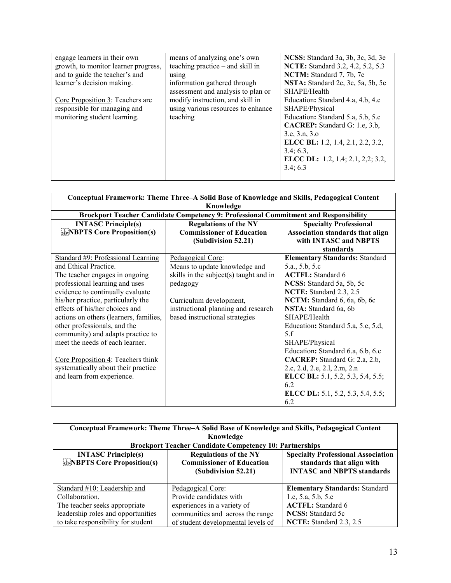| engage learners in their own         | means of analyzing one's own       | NCSS: Standard 3a, 3b, 3c, 3d, 3e |
|--------------------------------------|------------------------------------|-----------------------------------|
| growth, to monitor learner progress, | teaching practice $-$ and skill in | NCTE: Standard 3.2, 4.2, 5.2, 5.3 |
| and to guide the teacher's and       | using                              | NCTM: Standard 7, 7b, 7c          |
| learner's decision making.           | information gathered through       | NSTA: Standard 2c, 3c, 5a, 5b, 5c |
|                                      | assessment and analysis to plan or | SHAPE/Health                      |
| Core Proposition 3: Teachers are     | modify instruction, and skill in   | Education: Standard 4.a, 4.b, 4.c |
| responsible for managing and         | using various resources to enhance | SHAPE/Physical                    |
| monitoring student learning.         | teaching                           | Education: Standard 5.a, 5.b, 5.c |
|                                      |                                    | CACREP: Standard G: 1.e, 3.b,     |
|                                      |                                    | 3.e. 3.n. 3.o.                    |
|                                      |                                    | ELCC BL: 1.2, 1.4, 2.1, 2.2, 3.2, |
|                                      |                                    | 3.4; 6.3,                         |
|                                      |                                    | ELCC DL: 1.2, 1.4; 2.1, 2,2; 3.2, |
|                                      |                                    | 3.4; 6.3                          |
|                                      |                                    |                                   |

| Conceptual Framework: Theme Three-A Solid Base of Knowledge and Skills, Pedagogical Content              |                                                                                         |                                                                                            |
|----------------------------------------------------------------------------------------------------------|-----------------------------------------------------------------------------------------|--------------------------------------------------------------------------------------------|
| Knowledge<br><b>Brockport Teacher Candidate Competency 9: Professional Commitment and Responsibility</b> |                                                                                         |                                                                                            |
| <b>INTASC Principle(s)</b><br><b>SEPNEPTS Core Proposition(s)</b>                                        | <b>Regulations of the NY</b><br><b>Commissioner of Education</b><br>(Subdivision 52.21) | <b>Specialty Professional</b><br>Association standards that align<br>with INTASC and NBPTS |
|                                                                                                          |                                                                                         | standards                                                                                  |
| Standard #9: Professional Learning                                                                       | Pedagogical Core:                                                                       | <b>Elementary Standards: Standard</b>                                                      |
| and Ethical Practice.                                                                                    | Means to update knowledge and                                                           | 5.a., 5.b, 5.c                                                                             |
| The teacher engages in ongoing                                                                           | skills in the subject(s) taught and in                                                  | <b>ACTFL:</b> Standard 6                                                                   |
| professional learning and uses                                                                           | pedagogy                                                                                | NCSS: Standard 5a, 5b, 5c                                                                  |
| evidence to continually evaluate                                                                         |                                                                                         | NCTE: Standard 2.3, 2.5                                                                    |
| his/her practice, particularly the                                                                       | Curriculum development,                                                                 | NCTM: Standard 6, 6a, 6b, 6c                                                               |
| effects of his/her choices and                                                                           | instructional planning and research                                                     | NSTA: Standard 6a, 6b                                                                      |
| actions on others (learners, families,                                                                   | based instructional strategies                                                          | SHAPE/Health                                                                               |
| other professionals, and the                                                                             |                                                                                         | Education: Standard 5.a, 5.c, 5.d,                                                         |
| community) and adapts practice to                                                                        |                                                                                         | 5.f                                                                                        |
| meet the needs of each learner.                                                                          |                                                                                         | SHAPE/Physical                                                                             |
|                                                                                                          |                                                                                         | Education: Standard 6.a, 6.b, 6.c                                                          |
| Core Proposition 4: Teachers think                                                                       |                                                                                         | CACREP: Standard G: 2.a, 2.b,                                                              |
| systematically about their practice                                                                      |                                                                                         | 2.c, 2.d, 2.e, 2.l, 2.m, 2.n                                                               |
| and learn from experience.                                                                               |                                                                                         | ELCC BL: 5.1, 5.2, 5.3, 5.4, 5.5;                                                          |
|                                                                                                          |                                                                                         | 6.2                                                                                        |
|                                                                                                          |                                                                                         | ELCC DL: 5.1, 5.2, 5.3, 5.4, 5.5;                                                          |
|                                                                                                          |                                                                                         | 6.2                                                                                        |

| Conceptual Framework: Theme Three-A Solid Base of Knowledge and Skills, Pedagogical Content |                                                                |                                           |
|---------------------------------------------------------------------------------------------|----------------------------------------------------------------|-------------------------------------------|
| Knowledge                                                                                   |                                                                |                                           |
|                                                                                             | <b>Brockport Teacher Candidate Competency 10: Partnerships</b> |                                           |
| <b>INTASC Principle(s)</b>                                                                  | <b>Regulations of the NY</b>                                   | <b>Specialty Professional Association</b> |
| <b>EXPIRED FRAME COre Proposition(s)</b>                                                    | <b>Commissioner of Education</b>                               | standards that align with                 |
|                                                                                             | (Subdivision 52.21)                                            | <b>INTASC and NBPTS standards</b>         |
|                                                                                             |                                                                |                                           |
| Standard #10: Leadership and                                                                | Pedagogical Core:                                              | <b>Elementary Standards: Standard</b>     |
| Collaboration.                                                                              | Provide candidates with                                        | 1.c, 5.a, 5.b, 5.c                        |
| The teacher seeks appropriate                                                               | experiences in a variety of                                    | <b>ACTFL:</b> Standard 6                  |
| leadership roles and opportunities                                                          | communities and across the range                               | NCSS: Standard 5c                         |
| to take responsibility for student                                                          | of student developmental levels of                             | NCTE: Standard 2.3, 2.5                   |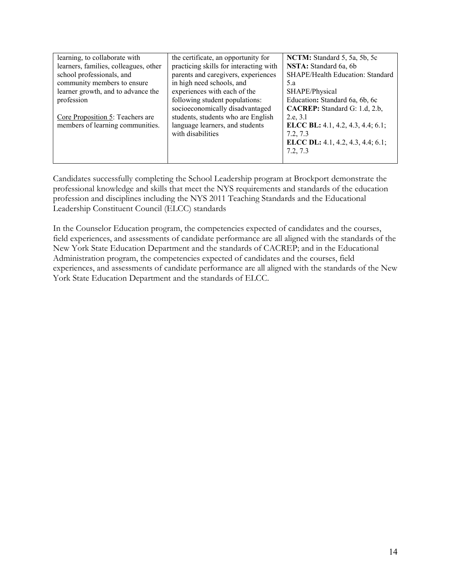| learning, to collaborate with         | the certificate, an opportunity for    | NCTM: Standard 5, 5a, 5b, 5c      |
|---------------------------------------|----------------------------------------|-----------------------------------|
| learners, families, colleagues, other | practicing skills for interacting with | NSTA: Standard 6a, 6b             |
| school professionals, and             | parents and caregivers, experiences    | SHAPE/Health Education: Standard  |
| community members to ensure           | in high need schools, and              | 5.a                               |
| learner growth, and to advance the    | experiences with each of the           | SHAPE/Physical                    |
| profession                            | following student populations:         | Education: Standard 6a, 6b, 6c    |
|                                       | socioeconomically disadvantaged        | CACREP: Standard G: 1.d, 2.b,     |
| Core Proposition 5: Teachers are      | students, students who are English     | 2.e, 3.l                          |
| members of learning communities.      | language learners, and students        | ELCC BL: 4.1, 4.2, 4.3, 4.4; 6.1; |
|                                       | with disabilities                      | 7.2, 7.3                          |
|                                       |                                        | ELCC DL: 4.1, 4.2, 4.3, 4.4; 6.1; |
|                                       |                                        | 7.2, 7.3                          |
|                                       |                                        |                                   |

Candidates successfully completing the School Leadership program at Brockport demonstrate the professional knowledge and skills that meet the NYS requirements and standards of the education profession and disciplines including the NYS 2011 Teaching Standards and the Educational Leadership Constituent Council (ELCC) standards

In the Counselor Education program, the competencies expected of candidates and the courses, field experiences, and assessments of candidate performance are all aligned with the standards of the New York State Education Department and the standards of CACREP; and in the Educational Administration program, the competencies expected of candidates and the courses, field experiences, and assessments of candidate performance are all aligned with the standards of the New York State Education Department and the standards of ELCC.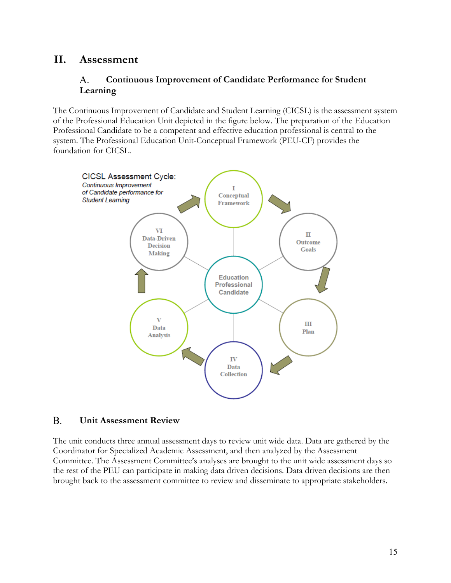# <span id="page-14-1"></span><span id="page-14-0"></span>**II. Assessment**

## A. **Continuous Improvement of Candidate Performance for Student Learning**

The Continuous Improvement of Candidate and Student Learning (CICSL) is the assessment system of the Professional Education Unit depicted in the figure below. The preparation of the Education Professional Candidate to be a competent and effective education professional is central to the system. The Professional Education Unit-Conceptual Framework (PEU-CF) provides the foundation for CICSL.



#### <span id="page-14-2"></span>B. **Unit Assessment Review**

The unit conducts three annual assessment days to review unit wide data. Data are gathered by the Coordinator for Specialized Academic Assessment, and then analyzed by the Assessment Committee. The Assessment Committee's analyses are brought to the unit wide assessment days so the rest of the PEU can participate in making data driven decisions. Data driven decisions are then brought back to the assessment committee to review and disseminate to appropriate stakeholders.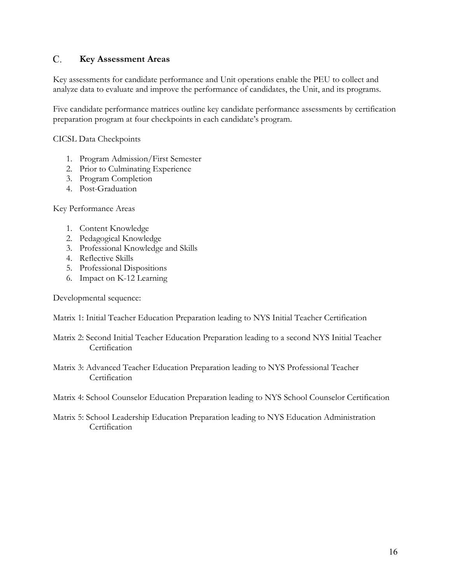#### <span id="page-15-0"></span> $C_{\cdot}$ **Key Assessment Areas**

Key assessments for candidate performance and Unit operations enable the PEU to collect and analyze data to evaluate and improve the performance of candidates, the Unit, and its programs.

Five candidate performance matrices outline key candidate performance assessments by certification preparation program at four checkpoints in each candidate's program.

CICSL Data Checkpoints

- 1. Program Admission/First Semester
- 2. Prior to Culminating Experience
- 3. Program Completion
- 4. Post-Graduation

Key Performance Areas

- 1. Content Knowledge
- 2. Pedagogical Knowledge
- 3. Professional Knowledge and Skills
- 4. Reflective Skills
- 5. Professional Dispositions
- 6. Impact on K-12 Learning

Developmental sequence:

Matrix 1: Initial Teacher Education Preparation leading to NYS Initial Teacher Certification

- Matrix 2: Second Initial Teacher Education Preparation leading to a second NYS Initial Teacher **Certification**
- Matrix 3: Advanced Teacher Education Preparation leading to NYS Professional Teacher **Certification**
- Matrix 4: School Counselor Education Preparation leading to NYS School Counselor Certification
- <span id="page-15-1"></span>Matrix 5: School Leadership Education Preparation leading to NYS Education Administration **Certification**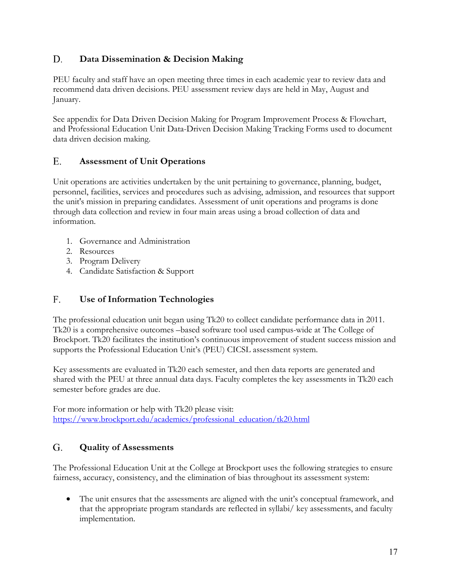## D. **Data Dissemination & Decision Making**

PEU faculty and staff have an open meeting three times in each academic year to review data and recommend data driven decisions. PEU assessment review days are held in May, August and January.

See appendix for Data Driven Decision Making for Program Improvement Process & Flowchart, and Professional Education Unit Data-Driven Decision Making Tracking Forms used to document data driven decision making.

#### <span id="page-16-0"></span>E. **Assessment of Unit Operations**

Unit operations are activities undertaken by the unit pertaining to governance, planning, budget, personnel, facilities, services and procedures such as advising, admission, and resources that support the unit's mission in preparing candidates. Assessment of unit operations and programs is done through data collection and review in four main areas using a broad collection of data and information.

- 1. Governance and Administration
- 2. Resources
- 3. Program Delivery
- 4. Candidate Satisfaction & Support

## <span id="page-16-1"></span>F. **Use of Information Technologies**

The professional education unit began using Tk20 to collect candidate performance data in 2011. Tk20 is a comprehensive outcomes –based software tool used campus-wide at The College of Brockport. Tk20 facilitates the institution's continuous improvement of student success mission and supports the Professional Education Unit's (PEU) CICSL assessment system.

Key assessments are evaluated in Tk20 each semester, and then data reports are generated and shared with the PEU at three annual data days. Faculty completes the key assessments in Tk20 each semester before grades are due.

For more information or help with Tk20 please visit: [https://www.brockport.edu/academics/professional\\_education/tk20.html](https://www.brockport.edu/academics/professional_education/tk20.html) 

#### <span id="page-16-2"></span>G. **Quality of Assessments**

The Professional Education Unit at the College at Brockport uses the following strategies to ensure fairness, accuracy, consistency, and the elimination of bias throughout its assessment system:

• The unit ensures that the assessments are aligned with the unit's conceptual framework, and that the appropriate program standards are reflected in syllabi/ key assessments, and faculty implementation.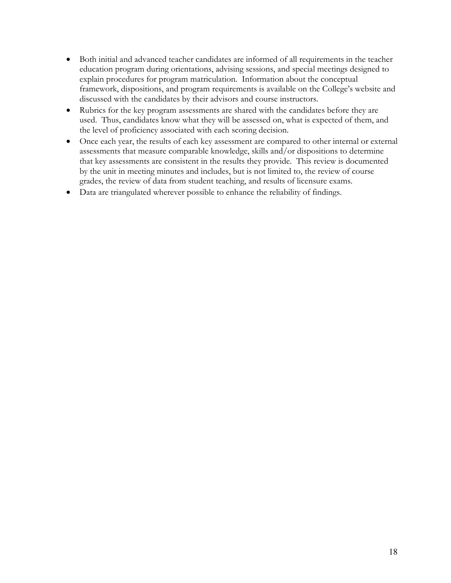- Both initial and advanced teacher candidates are informed of all requirements in the teacher education program during orientations, advising sessions, and special meetings designed to explain procedures for program matriculation. Information about the conceptual framework, dispositions, and program requirements is available on the College's website and discussed with the candidates by their advisors and course instructors.
- Rubrics for the key program assessments are shared with the candidates before they are used. Thus, candidates know what they will be assessed on, what is expected of them, and the level of proficiency associated with each scoring decision.
- Once each year, the results of each key assessment are compared to other internal or external assessments that measure comparable knowledge, skills and/or dispositions to determine that key assessments are consistent in the results they provide. This review is documented by the unit in meeting minutes and includes, but is not limited to, the review of course grades, the review of data from student teaching, and results of licensure exams.
- Data are triangulated wherever possible to enhance the reliability of findings.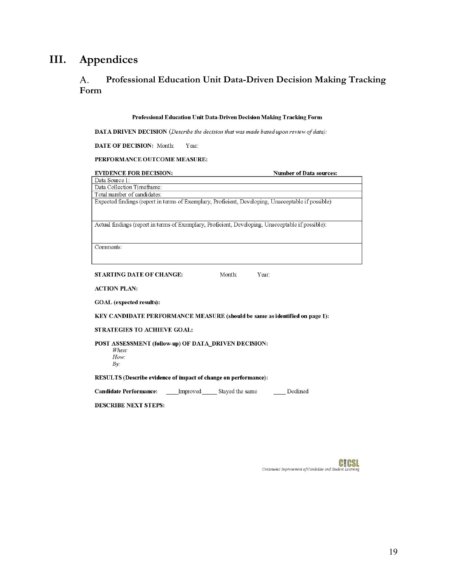# <span id="page-18-1"></span><span id="page-18-0"></span>**III. Appendices**

## A. **Professional Education Unit Data-Driven Decision Making Tracking Form**

# **Professional Education Unit Data-Driven Decision Making Tracking Form**

**DAT A DRIVEN DECISION** *(Describe the decision that was made based upon review of data):* 

**DATE OF DECISION:** Month: Year:

## **PERFORMANCE OUTCOME MEASURE:**

# **EVIDENCE FOR DECISION:** Number of Data sources:

Data Source I: Data Collection Timeframe: Total number of candidates:

Expected findings (report in terms of Exemplary, Proficient, Developing, Unacceptable if possible)

Actual findings (report in terms of Exemplary, Proficient, Developing, Unacceptable if possible):

Comments:

**STARTING DATE OF CHANGE:** Month: Year:

**ACTION PLAN:** 

**GOAL (expected results):** 

**KEY CANDIDATE PERFORMANCE MEASURE (should be same as identified on page 1):** 

## **STRATEGIES TO ACHIEVE GOAL:**

**POST ASSESSMENT (follow-up) OF DATA\_DRIVEN DECISION:** 

*When. How: By:* 

**RESULTS (Describe evidence of impact of change on performance):** 

**Candidate Performance: Improved** Stayed the same Declined

**DESCRIBE NEXT STEPS:** 

**C!CSL**  *Continuous Improvement of Candidate and Student Learning*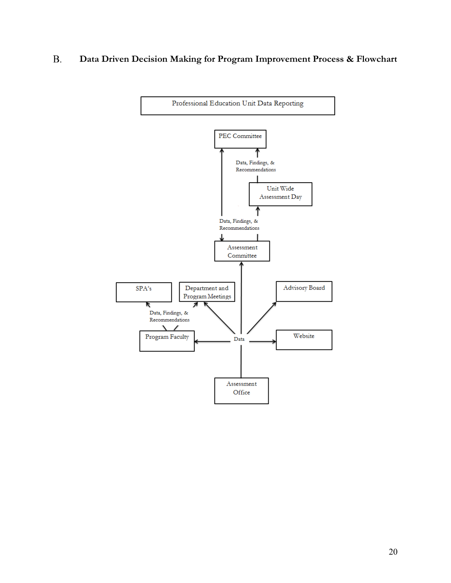### B. **Data Driven Decision Making for Program Improvement Process & Flowchart**

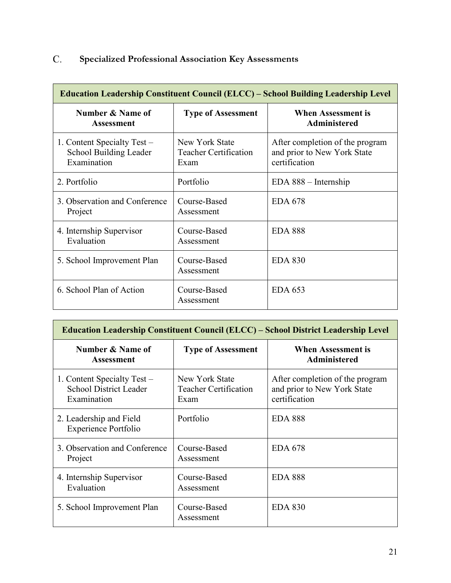# <span id="page-20-0"></span>C. **Specialized Professional Association Key Assessments**

| <b>Education Leadership Constituent Council (ELCC) – School Building Leadership Level</b> |                                                        |                                                                                 |
|-------------------------------------------------------------------------------------------|--------------------------------------------------------|---------------------------------------------------------------------------------|
| Number & Name of<br><b>Assessment</b>                                                     | <b>Type of Assessment</b>                              | <b>When Assessment is</b><br><b>Administered</b>                                |
| 1. Content Specialty Test –<br>School Building Leader<br>Examination                      | New York State<br><b>Teacher Certification</b><br>Exam | After completion of the program<br>and prior to New York State<br>certification |
| 2. Portfolio                                                                              | Portfolio                                              | $EDA 888 - Internship$                                                          |
| 3. Observation and Conference<br>Project                                                  | Course-Based<br>Assessment                             | <b>EDA 678</b>                                                                  |
| 4. Internship Supervisor<br>Evaluation                                                    | Course-Based<br>Assessment                             | <b>EDA 888</b>                                                                  |
| 5. School Improvement Plan                                                                | Course-Based<br>Assessment                             | <b>EDA 830</b>                                                                  |
| 6. School Plan of Action                                                                  | Course-Based<br>Assessment                             | <b>EDA 653</b>                                                                  |

| <b>Education Leadership Constituent Council (ELCC) – School District Leadership Level</b> |                                                        |                                                                                 |
|-------------------------------------------------------------------------------------------|--------------------------------------------------------|---------------------------------------------------------------------------------|
| Number & Name of<br><b>Assessment</b>                                                     | <b>Type of Assessment</b>                              | <b>When Assessment is</b><br><b>Administered</b>                                |
| 1. Content Specialty Test –<br><b>School District Leader</b><br>Examination               | New York State<br><b>Teacher Certification</b><br>Exam | After completion of the program<br>and prior to New York State<br>certification |
| 2. Leadership and Field<br><b>Experience Portfolio</b>                                    | Portfolio                                              | <b>EDA 888</b>                                                                  |
| 3. Observation and Conference<br>Project                                                  | Course-Based<br>Assessment                             | <b>EDA 678</b>                                                                  |
| 4. Internship Supervisor<br>Evaluation                                                    | Course-Based<br>Assessment                             | <b>EDA 888</b>                                                                  |
| 5. School Improvement Plan                                                                | Course-Based<br>Assessment                             | <b>EDA 830</b>                                                                  |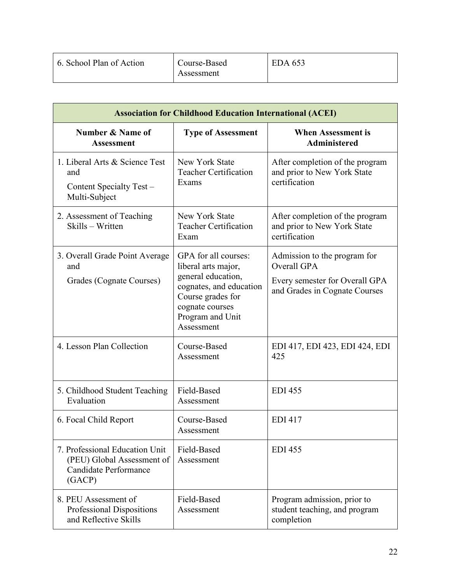| 6. School Plan of Action | Course-Based<br>Assessment | EDA 653 |
|--------------------------|----------------------------|---------|
|                          |                            |         |

| <b>Association for Childhood Education International (ACEI)</b>                                 |                                                                                                                                                                        |                                                                                                                |
|-------------------------------------------------------------------------------------------------|------------------------------------------------------------------------------------------------------------------------------------------------------------------------|----------------------------------------------------------------------------------------------------------------|
| Number & Name of<br><b>Assessment</b>                                                           | <b>Type of Assessment</b>                                                                                                                                              | <b>When Assessment is</b><br><b>Administered</b>                                                               |
| 1. Liberal Arts & Science Test<br>and<br>Content Specialty Test -<br>Multi-Subject              | New York State<br><b>Teacher Certification</b><br>Exams                                                                                                                | After completion of the program<br>and prior to New York State<br>certification                                |
| 2. Assessment of Teaching<br>Skills - Written                                                   | New York State<br><b>Teacher Certification</b><br>Exam                                                                                                                 | After completion of the program<br>and prior to New York State<br>certification                                |
| 3. Overall Grade Point Average<br>and<br>Grades (Cognate Courses)                               | GPA for all courses:<br>liberal arts major,<br>general education,<br>cognates, and education<br>Course grades for<br>cognate courses<br>Program and Unit<br>Assessment | Admission to the program for<br>Overall GPA<br>Every semester for Overall GPA<br>and Grades in Cognate Courses |
| 4. Lesson Plan Collection                                                                       | Course-Based<br>Assessment                                                                                                                                             | EDI 417, EDI 423, EDI 424, EDI<br>425                                                                          |
| 5. Childhood Student Teaching<br>Evaluation                                                     | Field-Based<br>Assessment                                                                                                                                              | <b>EDI 455</b>                                                                                                 |
| 6. Focal Child Report                                                                           | Course-Based<br>Assessment                                                                                                                                             | <b>EDI 417</b>                                                                                                 |
| 7. Professional Education Unit<br>(PEU) Global Assessment of<br>Candidate Performance<br>(GACP) | Field-Based<br>Assessment                                                                                                                                              | <b>EDI 455</b>                                                                                                 |
| 8. PEU Assessment of<br>Professional Dispositions<br>and Reflective Skills                      | Field-Based<br>Assessment                                                                                                                                              | Program admission, prior to<br>student teaching, and program<br>completion                                     |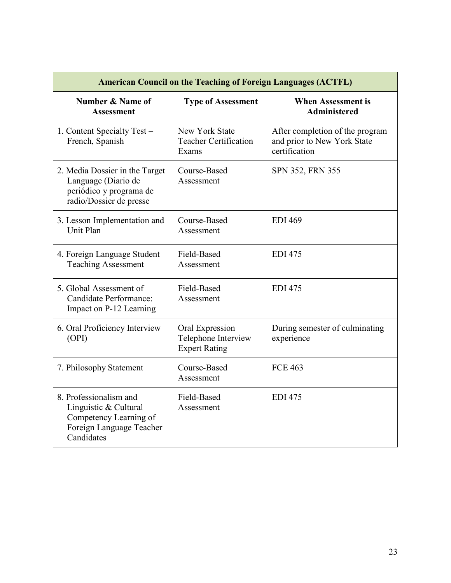| <b>American Council on the Teaching of Foreign Languages (ACTFL)</b>                                                |                                                                |                                                                                 |
|---------------------------------------------------------------------------------------------------------------------|----------------------------------------------------------------|---------------------------------------------------------------------------------|
| Number & Name of<br><b>Assessment</b>                                                                               | <b>Type of Assessment</b>                                      | <b>When Assessment is</b><br><b>Administered</b>                                |
| 1. Content Specialty Test -<br>French, Spanish                                                                      | New York State<br><b>Teacher Certification</b><br>Exams        | After completion of the program<br>and prior to New York State<br>certification |
| 2. Media Dossier in the Target<br>Language (Diario de<br>periódico y programa de<br>radio/Dossier de presse         | Course-Based<br>Assessment                                     | SPN 352, FRN 355                                                                |
| 3. Lesson Implementation and<br>Unit Plan                                                                           | Course-Based<br>Assessment                                     | <b>EDI 469</b>                                                                  |
| 4. Foreign Language Student<br><b>Teaching Assessment</b>                                                           | Field-Based<br>Assessment                                      | <b>EDI 475</b>                                                                  |
| 5. Global Assessment of<br>Candidate Performance:<br>Impact on P-12 Learning                                        | Field-Based<br>Assessment                                      | <b>EDI 475</b>                                                                  |
| 6. Oral Proficiency Interview<br>(OPI)                                                                              | Oral Expression<br>Telephone Interview<br><b>Expert Rating</b> | During semester of culminating<br>experience                                    |
| 7. Philosophy Statement                                                                                             | Course-Based<br>Assessment                                     | <b>FCE 463</b>                                                                  |
| 8. Professionalism and<br>Linguistic & Cultural<br>Competency Learning of<br>Foreign Language Teacher<br>Candidates | Field-Based<br>Assessment                                      | <b>EDI 475</b>                                                                  |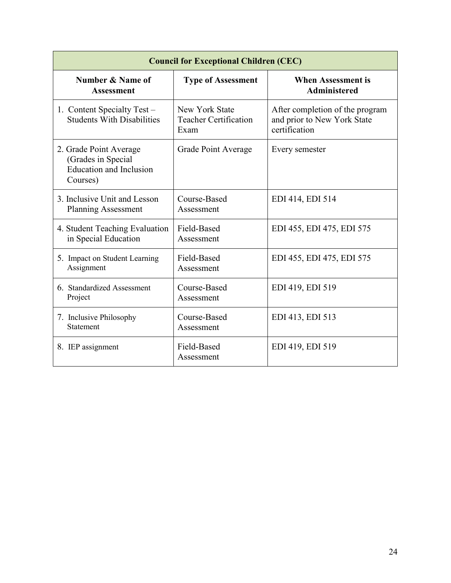| <b>Council for Exceptional Children (CEC)</b>                                              |                                                        |                                                                                 |
|--------------------------------------------------------------------------------------------|--------------------------------------------------------|---------------------------------------------------------------------------------|
| Number & Name of<br><b>Assessment</b>                                                      | <b>Type of Assessment</b>                              | <b>When Assessment is</b><br><b>Administered</b>                                |
| 1. Content Specialty Test -<br><b>Students With Disabilities</b>                           | New York State<br><b>Teacher Certification</b><br>Exam | After completion of the program<br>and prior to New York State<br>certification |
| 2. Grade Point Average<br>(Grades in Special<br><b>Education and Inclusion</b><br>Courses) | Grade Point Average                                    | Every semester                                                                  |
| 3. Inclusive Unit and Lesson<br><b>Planning Assessment</b>                                 | Course-Based<br>Assessment                             | EDI 414, EDI 514                                                                |
| 4. Student Teaching Evaluation<br>in Special Education                                     | Field-Based<br>Assessment                              | EDI 455, EDI 475, EDI 575                                                       |
| 5. Impact on Student Learning<br>Assignment                                                | Field-Based<br>Assessment                              | EDI 455, EDI 475, EDI 575                                                       |
| 6. Standardized Assessment<br>Project                                                      | Course-Based<br>Assessment                             | EDI 419, EDI 519                                                                |
| 7. Inclusive Philosophy<br>Statement                                                       | Course-Based<br>Assessment                             | EDI 413, EDI 513                                                                |
| 8. IEP assignment                                                                          | Field-Based<br>Assessment                              | EDI 419, EDI 519                                                                |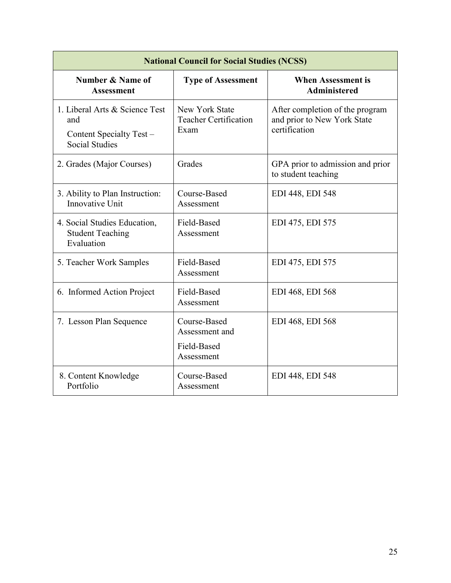| <b>National Council for Social Studies (NCSS)</b>                                          |                                                             |                                                                                 |
|--------------------------------------------------------------------------------------------|-------------------------------------------------------------|---------------------------------------------------------------------------------|
| <b>Number &amp; Name of</b><br><b>Assessment</b>                                           | <b>Type of Assessment</b>                                   | <b>When Assessment is</b><br><b>Administered</b>                                |
| 1. Liberal Arts & Science Test<br>and<br>Content Specialty Test –<br><b>Social Studies</b> | New York State<br><b>Teacher Certification</b><br>Exam      | After completion of the program<br>and prior to New York State<br>certification |
| 2. Grades (Major Courses)                                                                  | Grades                                                      | GPA prior to admission and prior<br>to student teaching                         |
| 3. Ability to Plan Instruction:<br>Innovative Unit                                         | Course-Based<br>Assessment                                  | EDI 448, EDI 548                                                                |
| 4. Social Studies Education,<br><b>Student Teaching</b><br>Evaluation                      | Field-Based<br>Assessment                                   | EDI 475, EDI 575                                                                |
| 5. Teacher Work Samples                                                                    | Field-Based<br>Assessment                                   | EDI 475, EDI 575                                                                |
| 6. Informed Action Project                                                                 | Field-Based<br>Assessment                                   | EDI 468, EDI 568                                                                |
| 7. Lesson Plan Sequence                                                                    | Course-Based<br>Assessment and<br>Field-Based<br>Assessment | EDI 468, EDI 568                                                                |
| 8. Content Knowledge<br>Portfolio                                                          | Course-Based<br>Assessment                                  | EDI 448, EDI 548                                                                |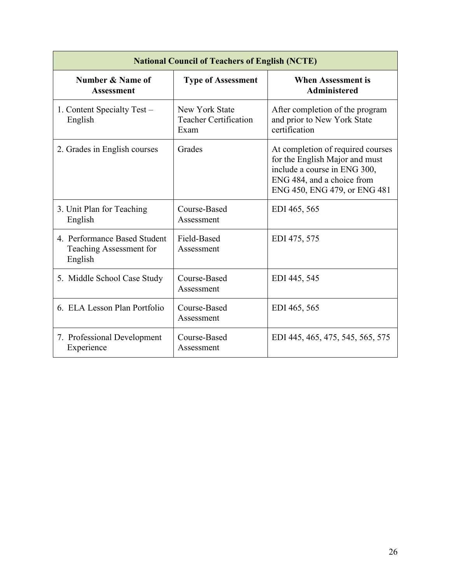| <b>National Council of Teachers of English (NCTE)</b>              |                                                        |                                                                                                                                                                   |
|--------------------------------------------------------------------|--------------------------------------------------------|-------------------------------------------------------------------------------------------------------------------------------------------------------------------|
| Number & Name of<br><b>Assessment</b>                              | <b>Type of Assessment</b>                              | <b>When Assessment is</b><br><b>Administered</b>                                                                                                                  |
| 1. Content Specialty Test –<br>English                             | New York State<br><b>Teacher Certification</b><br>Exam | After completion of the program<br>and prior to New York State<br>certification                                                                                   |
| 2. Grades in English courses                                       | Grades                                                 | At completion of required courses<br>for the English Major and must<br>include a course in ENG 300,<br>ENG 484, and a choice from<br>ENG 450, ENG 479, or ENG 481 |
| 3. Unit Plan for Teaching<br>English                               | Course-Based<br>Assessment                             | EDI 465, 565                                                                                                                                                      |
| 4. Performance Based Student<br>Teaching Assessment for<br>English | Field-Based<br>Assessment                              | EDI 475, 575                                                                                                                                                      |
| 5. Middle School Case Study                                        | Course-Based<br>Assessment                             | EDI 445, 545                                                                                                                                                      |
| 6. ELA Lesson Plan Portfolio                                       | Course-Based<br>Assessment                             | EDI 465, 565                                                                                                                                                      |
| 7. Professional Development<br>Experience                          | Course-Based<br>Assessment                             | EDI 445, 465, 475, 545, 565, 575                                                                                                                                  |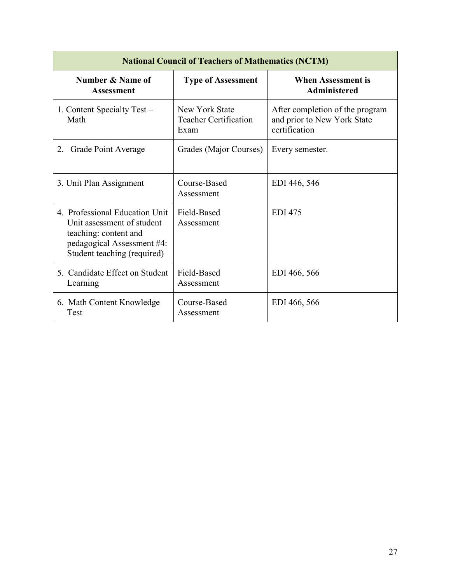| <b>National Council of Teachers of Mathematics (NCTM)</b>                                                                                          |                                                 |                                                                                 |  |
|----------------------------------------------------------------------------------------------------------------------------------------------------|-------------------------------------------------|---------------------------------------------------------------------------------|--|
| Number & Name of<br><b>Assessment</b>                                                                                                              | <b>Type of Assessment</b>                       | <b>When Assessment is</b><br><b>Administered</b>                                |  |
| 1. Content Specialty Test –<br>Math                                                                                                                | New York State<br>Teacher Certification<br>Exam | After completion of the program<br>and prior to New York State<br>certification |  |
| 2.<br><b>Grade Point Average</b>                                                                                                                   | Grades (Major Courses)                          | Every semester.                                                                 |  |
| 3. Unit Plan Assignment                                                                                                                            | Course-Based<br>Assessment                      | EDI 446, 546                                                                    |  |
| 4. Professional Education Unit<br>Unit assessment of student<br>teaching: content and<br>pedagogical Assessment #4:<br>Student teaching (required) | Field-Based<br>Assessment                       | <b>EDI</b> 475                                                                  |  |
| 5. Candidate Effect on Student<br>Learning                                                                                                         | Field-Based<br>Assessment                       | EDI 466, 566                                                                    |  |
| 6. Math Content Knowledge<br>Test                                                                                                                  | Course-Based<br>Assessment                      | EDI 466, 566                                                                    |  |